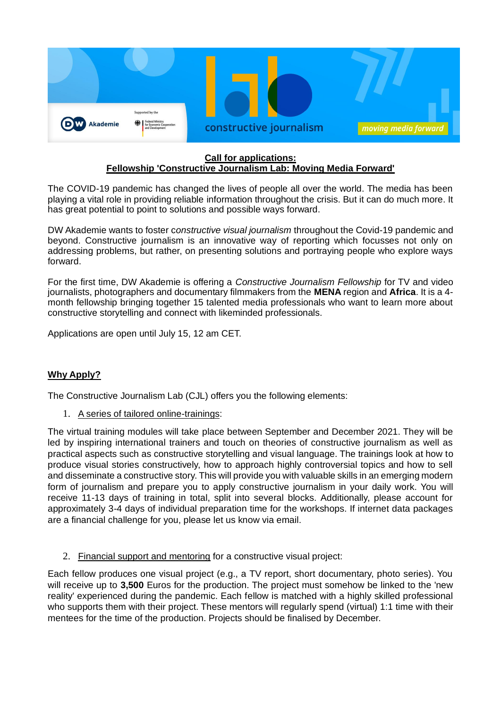

## **Call for applications: Fellowship 'Constructive Journalism Lab: Moving Media Forward'**

The COVID-19 pandemic has changed the lives of people all over the world. The media has been playing a vital role in providing reliable information throughout the crisis. But it can do much more. It has great potential to point to solutions and possible ways forward.

DW Akademie wants to foster c*onstructive visual journalism* throughout the Covid-19 pandemic and beyond. Constructive journalism is an innovative way of reporting which focusses not only on addressing problems, but rather, on presenting solutions and portraying people who explore ways forward.

For the first time, DW Akademie is offering a *Constructive Journalism Fellowship* for TV and video journalists, photographers and documentary filmmakers from the **MENA** region and **Africa**. It is a 4 month fellowship bringing together 15 talented media professionals who want to learn more about constructive storytelling and connect with likeminded professionals.

Applications are open until July 15, 12 am CET.

# **Why Apply?**

The Constructive Journalism Lab (CJL) offers you the following elements:

## 1. A series of tailored online-trainings:

The virtual training modules will take place between September and December 2021. They will be led by inspiring international trainers and touch on theories of constructive journalism as well as practical aspects such as constructive storytelling and visual language. The trainings look at how to produce visual stories constructively, how to approach highly controversial topics and how to sell and disseminate a constructive story. This will provide you with valuable skills in an emerging modern form of journalism and prepare you to apply constructive journalism in your daily work. You will receive 11-13 days of training in total, split into several blocks. Additionally, please account for approximately 3-4 days of individual preparation time for the workshops. If internet data packages are a financial challenge for you, please let us know via email.

2. Financial support and mentoring for a constructive visual project:

Each fellow produces one visual project (e.g., a TV report, short documentary, photo series). You will receive up to **3,500** Euros for the production. The project must somehow be linked to the 'new reality' experienced during the pandemic. Each fellow is matched with a highly skilled professional who supports them with their project. These mentors will regularly spend (virtual) 1:1 time with their mentees for the time of the production. Projects should be finalised by December.